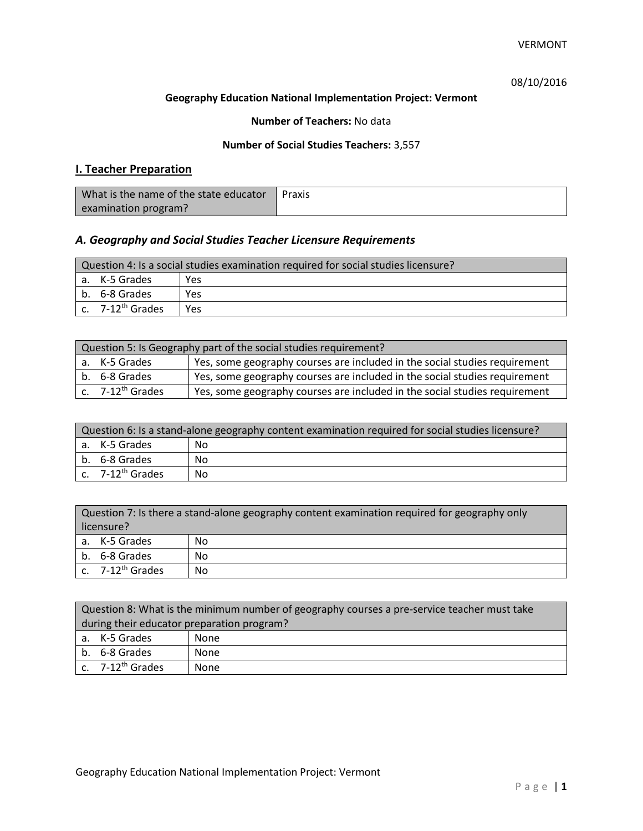# 08/10/2016

### **Geography Education National Implementation Project: Vermont**

## **Number of Teachers:** No data

### **Number of Social Studies Teachers:** 3,557

# **I. Teacher Preparation**

| What is the name of the state educator | Praxis |
|----------------------------------------|--------|
| examination program?                   |        |

# *A. Geography and Social Studies Teacher Licensure Requirements*

| Question 4: Is a social studies examination required for social studies licensure? |                                         |     |
|------------------------------------------------------------------------------------|-----------------------------------------|-----|
| a. K-5 Grades<br>Yes                                                               |                                         |     |
|                                                                                    | l b. 6-8 Grades                         | Yes |
|                                                                                    | $\mathsf{c.}$ 7-12 <sup>th</sup> Grades | Yes |

| Question 5: Is Geography part of the social studies requirement? |                              |                                                                            |  |
|------------------------------------------------------------------|------------------------------|----------------------------------------------------------------------------|--|
|                                                                  | a. K-5 Grades                | Yes, some geography courses are included in the social studies requirement |  |
|                                                                  | b. 6-8 Grades                | Yes, some geography courses are included in the social studies requirement |  |
|                                                                  | c. 7-12 <sup>th</sup> Grades | Yes, some geography courses are included in the social studies requirement |  |

| Question 6: Is a stand-alone geography content examination required for social studies licensure? |    |  |
|---------------------------------------------------------------------------------------------------|----|--|
| a. K-5 Grades<br>No                                                                               |    |  |
| b. 6-8 Grades                                                                                     | Nο |  |
| c. $7-12^{th}$ Grades                                                                             | No |  |

| Question 7: Is there a stand-alone geography content examination required for geography only<br>licensure? |    |  |
|------------------------------------------------------------------------------------------------------------|----|--|
|                                                                                                            |    |  |
| a. K-5 Grades                                                                                              | No |  |
| b. 6-8 Grades                                                                                              | No |  |
| c. $7-12^{th}$ Grades                                                                                      | No |  |

| Question 8: What is the minimum number of geography courses a pre-service teacher must take |      |  |
|---------------------------------------------------------------------------------------------|------|--|
| during their educator preparation program?                                                  |      |  |
| a. K-5 Grades                                                                               | None |  |
| b. 6-8 Grades<br>None                                                                       |      |  |
| $c.$ 7-12 <sup>th</sup> Grades                                                              | None |  |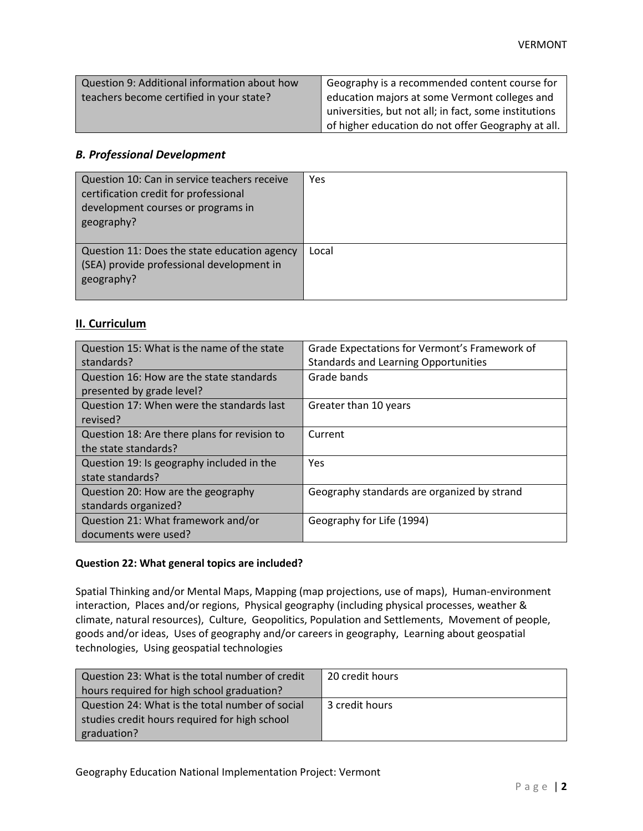| Question 9: Additional information about how | Geography is a recommended content course for         |
|----------------------------------------------|-------------------------------------------------------|
| teachers become certified in your state?     | education majors at some Vermont colleges and         |
|                                              | universities, but not all; in fact, some institutions |
|                                              | of higher education do not offer Geography at all.    |

## *B. Professional Development*

| Question 10: Can in service teachers receive<br>certification credit for professional<br>development courses or programs in<br>geography? | Yes   |
|-------------------------------------------------------------------------------------------------------------------------------------------|-------|
| Question 11: Does the state education agency<br>(SEA) provide professional development in<br>geography?                                   | Local |

## **II. Curriculum**

| Question 15: What is the name of the state<br>standards?              | Grade Expectations for Vermont's Framework of<br><b>Standards and Learning Opportunities</b> |
|-----------------------------------------------------------------------|----------------------------------------------------------------------------------------------|
| Question 16: How are the state standards<br>presented by grade level? | Grade bands                                                                                  |
| Question 17: When were the standards last<br>revised?                 | Greater than 10 years                                                                        |
| Question 18: Are there plans for revision to<br>the state standards?  | Current                                                                                      |
| Question 19: Is geography included in the<br>state standards?         | Yes                                                                                          |
| Question 20: How are the geography<br>standards organized?            | Geography standards are organized by strand                                                  |
| Question 21: What framework and/or<br>documents were used?            | Geography for Life (1994)                                                                    |

### **Question 22: What general topics are included?**

Spatial Thinking and/or Mental Maps, Mapping (map projections, use of maps), Human-environment interaction, Places and/or regions, Physical geography (including physical processes, weather & climate, natural resources), Culture, Geopolitics, Population and Settlements, Movement of people, goods and/or ideas, Uses of geography and/or careers in geography, Learning about geospatial technologies, Using geospatial technologies

| Question 23: What is the total number of credit | 20 credit hours |
|-------------------------------------------------|-----------------|
| hours required for high school graduation?      |                 |
| Question 24: What is the total number of social | 3 credit hours  |
| studies credit hours required for high school   |                 |
| graduation?                                     |                 |